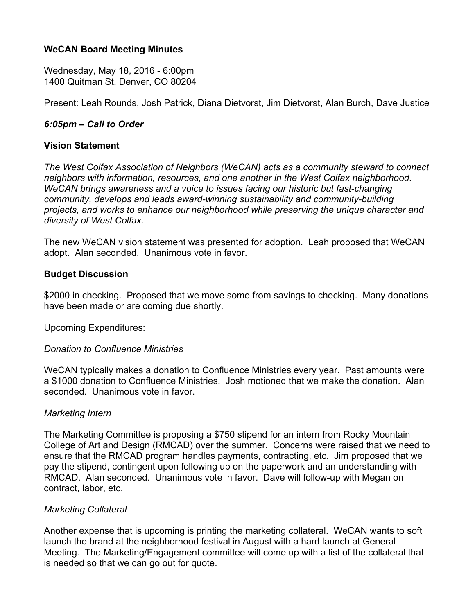#### **WeCAN Board Meeting Minutes**

Wednesday, May 18, 2016 - 6:00pm 1400 Quitman St. Denver, CO 80204

Present: Leah Rounds, Josh Patrick, Diana Dietvorst, Jim Dietvorst, Alan Burch, Dave Justice

### *6:05pm – Call to Order*

#### **Vision Statement**

*The West Colfax Association of Neighbors (WeCAN) acts as a community steward to connect neighbors with information, resources, and one another in the West Colfax neighborhood. WeCAN brings awareness and a voice to issues facing our historic but fast-changing community, develops and leads award-winning sustainability and community-building projects, and works to enhance our neighborhood while preserving the unique character and diversity of West Colfax.*

The new WeCAN vision statement was presented for adoption. Leah proposed that WeCAN adopt. Alan seconded. Unanimous vote in favor.

#### **Budget Discussion**

\$2000 in checking. Proposed that we move some from savings to checking. Many donations have been made or are coming due shortly.

Upcoming Expenditures:

#### *Donation to Confluence Ministries*

WeCAN typically makes a donation to Confluence Ministries every year. Past amounts were a \$1000 donation to Confluence Ministries. Josh motioned that we make the donation. Alan seconded. Unanimous vote in favor.

#### *Marketing Intern*

The Marketing Committee is proposing a \$750 stipend for an intern from Rocky Mountain College of Art and Design (RMCAD) over the summer. Concerns were raised that we need to ensure that the RMCAD program handles payments, contracting, etc. Jim proposed that we pay the stipend, contingent upon following up on the paperwork and an understanding with RMCAD. Alan seconded. Unanimous vote in favor. Dave will follow-up with Megan on contract, labor, etc.

#### *Marketing Collateral*

Another expense that is upcoming is printing the marketing collateral. WeCAN wants to soft launch the brand at the neighborhood festival in August with a hard launch at General Meeting. The Marketing/Engagement committee will come up with a list of the collateral that is needed so that we can go out for quote.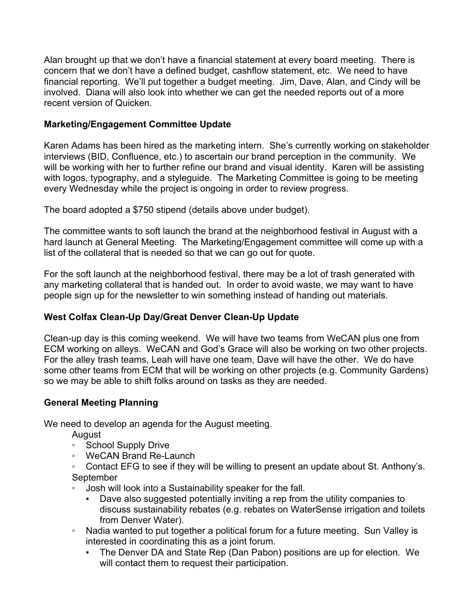Alan brought up that we don't have a financial statement at every board meeting. There is concern that we don't have a defined budget, cashflow statement, etc. We need to have financial reporting. We'll put together a budget meeting. Jim, Dave, Alan, and Cindy will be involved. Diana will also look into whether we can get the needed reports out of a more recent version of Quicken.

# **Marketing/Engagement Committee Update**

Karen Adams has been hired as the marketing intern. She's currently working on stakeholder interviews (BID, Confluence, etc.) to ascertain our brand perception in the community. We will be working with her to further refine our brand and visual identity. Karen will be assisting with logos, typography, and a styleguide. The Marketing Committee is going to be meeting every Wednesday while the project is ongoing in order to review progress.

The board adopted a \$750 stipend (details above under budget).

The committee wants to soft launch the brand at the neighborhood festival in August with a hard launch at General Meeting. The Marketing/Engagement committee will come up with a list of the collateral that is needed so that we can go out for quote.

For the soft launch at the neighborhood festival, there may be a lot of trash generated with any marketing collateral that is handed out. In order to avoid waste, we may want to have people sign up for the newsletter to win something instead of handing out materials.

# **West Colfax Clean-Up Day/Great Denver Clean-Up Update**

Clean-up day is this coming weekend. We will have two teams from WeCAN plus one from ECM working on alleys. WeCAN and God's Grace will also be working on two other projects. For the alley trash teams, Leah will have one team, Dave will have the other. We do have some other teams from ECM that will be working on other projects (e.g. Community Gardens) so we may be able to shift folks around on tasks as they are needed.

## **General Meeting Planning**

We need to develop an agenda for the August meeting.

- August
- School Supply Drive
- WeCAN Brand Re-Launch
- Contact EFG to see if they will be willing to present an update about St. Anthony's. September
- Josh will look into a Sustainability speaker for the fall.
	- Dave also suggested potentially inviting a rep from the utility companies to discuss sustainability rebates (e.g. rebates on WaterSense irrigation and toilets from Denver Water).
- Nadia wanted to put together a political forum for a future meeting. Sun Valley is interested in coordinating this as a joint forum.
	- The Denver DA and State Rep (Dan Pabon) positions are up for election. We will contact them to request their participation.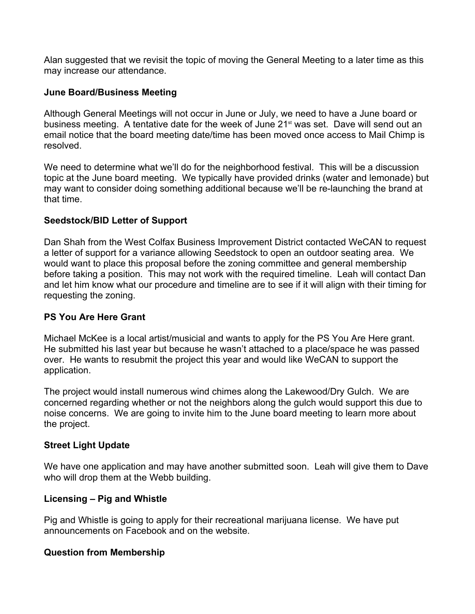Alan suggested that we revisit the topic of moving the General Meeting to a later time as this may increase our attendance.

### **June Board/Business Meeting**

Although General Meetings will not occur in June or July, we need to have a June board or business meeting. A tentative date for the week of June 21<sup>st</sup> was set. Dave will send out an email notice that the board meeting date/time has been moved once access to Mail Chimp is resolved.

We need to determine what we'll do for the neighborhood festival. This will be a discussion topic at the June board meeting. We typically have provided drinks (water and lemonade) but may want to consider doing something additional because we'll be re-launching the brand at that time.

### **Seedstock/BID Letter of Support**

Dan Shah from the West Colfax Business Improvement District contacted WeCAN to request a letter of support for a variance allowing Seedstock to open an outdoor seating area. We would want to place this proposal before the zoning committee and general membership before taking a position. This may not work with the required timeline. Leah will contact Dan and let him know what our procedure and timeline are to see if it will align with their timing for requesting the zoning.

## **PS You Are Here Grant**

Michael McKee is a local artist/musicial and wants to apply for the PS You Are Here grant. He submitted his last year but because he wasn't attached to a place/space he was passed over. He wants to resubmit the project this year and would like WeCAN to support the application.

The project would install numerous wind chimes along the Lakewood/Dry Gulch. We are concerned regarding whether or not the neighbors along the gulch would support this due to noise concerns. We are going to invite him to the June board meeting to learn more about the project.

## **Street Light Update**

We have one application and may have another submitted soon. Leah will give them to Dave who will drop them at the Webb building.

## **Licensing – Pig and Whistle**

Pig and Whistle is going to apply for their recreational marijuana license. We have put announcements on Facebook and on the website.

#### **Question from Membership**